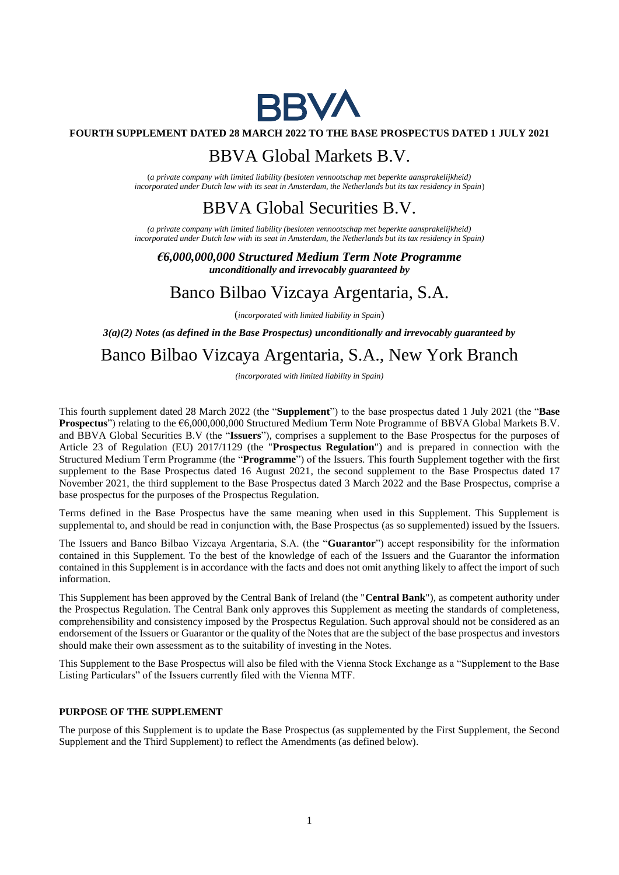

### **FOURTH SUPPLEMENT DATED 28 MARCH 2022 TO THE BASE PROSPECTUS DATED 1 JULY 2021**

## BBVA Global Markets B.V.

(*a private company with limited liability (besloten vennootschap met beperkte aansprakelijkheid) incorporated under Dutch law with its seat in Amsterdam, the Netherlands but its tax residency in Spain*)

# BBVA Global Securities B.V.

*(a private company with limited liability (besloten vennootschap met beperkte aansprakelijkheid) incorporated under Dutch law with its seat in Amsterdam, the Netherlands but its tax residency in Spain)*

*€6,000,000,000 Structured Medium Term Note Programme unconditionally and irrevocably guaranteed by*

## Banco Bilbao Vizcaya Argentaria, S.A.

(*incorporated with limited liability in Spain*)

*3(a)(2) Notes (as defined in the Base Prospectus) unconditionally and irrevocably guaranteed by*

# Banco Bilbao Vizcaya Argentaria, S.A., New York Branch

*(incorporated with limited liability in Spain)*

This fourth supplement dated 28 March 2022 (the "**Supplement**") to the base prospectus dated 1 July 2021 (the "**Base Prospectus**") relating to the €6,000,000,000 Structured Medium Term Note Programme of BBVA Global Markets B.V. and BBVA Global Securities B.V (the "**Issuers**"), comprises a supplement to the Base Prospectus for the purposes of Article 23 of Regulation (EU) 2017/1129 (the "**Prospectus Regulation**") and is prepared in connection with the Structured Medium Term Programme (the "**Programme**") of the Issuers. This fourth Supplement together with the first supplement to the Base Prospectus dated 16 August 2021, the second supplement to the Base Prospectus dated 17 November 2021, the third supplement to the Base Prospectus dated 3 March 2022 and the Base Prospectus, comprise a base prospectus for the purposes of the Prospectus Regulation.

Terms defined in the Base Prospectus have the same meaning when used in this Supplement. This Supplement is supplemental to, and should be read in conjunction with, the Base Prospectus (as so supplemented) issued by the Issuers.

The Issuers and Banco Bilbao Vizcaya Argentaria, S.A. (the "**Guarantor**") accept responsibility for the information contained in this Supplement. To the best of the knowledge of each of the Issuers and the Guarantor the information contained in this Supplement is in accordance with the facts and does not omit anything likely to affect the import of such information.

This Supplement has been approved by the Central Bank of Ireland (the "**Central Bank**"), as competent authority under the Prospectus Regulation. The Central Bank only approves this Supplement as meeting the standards of completeness, comprehensibility and consistency imposed by the Prospectus Regulation. Such approval should not be considered as an endorsement of the Issuers or Guarantor or the quality of the Notes that are the subject of the base prospectus and investors should make their own assessment as to the suitability of investing in the Notes.

This Supplement to the Base Prospectus will also be filed with the Vienna Stock Exchange as a "Supplement to the Base Listing Particulars" of the Issuers currently filed with the Vienna MTF.

#### **PURPOSE OF THE SUPPLEMENT**

The purpose of this Supplement is to update the Base Prospectus (as supplemented by the First Supplement, the Second Supplement and the Third Supplement) to reflect the Amendments (as defined below).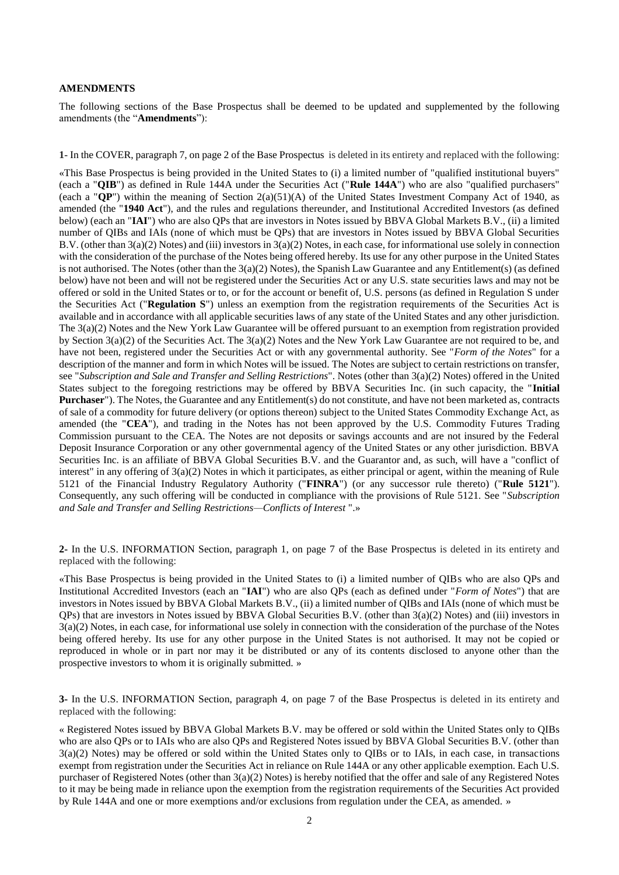#### **AMENDMENTS**

The following sections of the Base Prospectus shall be deemed to be updated and supplemented by the following amendments (the "**Amendments**"):

**1-** In the COVER, paragraph 7, on page 2 of the Base Prospectus is deleted in its entirety and replaced with the following:

«This Base Prospectus is being provided in the United States to (i) a limited number of "qualified institutional buyers" (each a "**QIB**") as defined in Rule 144A under the Securities Act ("**Rule 144A**") who are also "qualified purchasers" (each a "**QP**") within the meaning of Section 2(a)(51)(A) of the United States Investment Company Act of 1940, as amended (the "**1940 Act**"), and the rules and regulations thereunder, and Institutional Accredited Investors (as defined below) (each an "**IAI**") who are also QPs that are investors in Notes issued by BBVA Global Markets B.V., (ii) a limited number of QIBs and IAIs (none of which must be QPs) that are investors in Notes issued by BBVA Global Securities B.V. (other than 3(a)(2) Notes) and (iii) investors in 3(a)(2) Notes, in each case, for informational use solely in connection with the consideration of the purchase of the Notes being offered hereby. Its use for any other purpose in the United States is not authorised. The Notes (other than the  $3(a)(2)$  Notes), the Spanish Law Guarantee and any Entitlement(s) (as defined below) have not been and will not be registered under the Securities Act or any U.S. state securities laws and may not be offered or sold in the United States or to, or for the account or benefit of, U.S. persons (as defined in Regulation S under the Securities Act ("**Regulation S**") unless an exemption from the registration requirements of the Securities Act is available and in accordance with all applicable securities laws of any state of the United States and any other jurisdiction. The 3(a)(2) Notes and the New York Law Guarantee will be offered pursuant to an exemption from registration provided by Section 3(a)(2) of the Securities Act. The 3(a)(2) Notes and the New York Law Guarantee are not required to be, and have not been, registered under the Securities Act or with any governmental authority. See "*Form of the Notes*" for a description of the manner and form in which Notes will be issued. The Notes are subject to certain restrictions on transfer, see "*Subscription and Sale and Transfer and Selling Restrictions*". Notes (other than 3(a)(2) Notes) offered in the United States subject to the foregoing restrictions may be offered by BBVA Securities Inc. (in such capacity, the "**Initial Purchaser**"). The Notes, the Guarantee and any Entitlement(s) do not constitute, and have not been marketed as, contracts of sale of a commodity for future delivery (or options thereon) subject to the United States Commodity Exchange Act, as amended (the "**CEA**"), and trading in the Notes has not been approved by the U.S. Commodity Futures Trading Commission pursuant to the CEA. The Notes are not deposits or savings accounts and are not insured by the Federal Deposit Insurance Corporation or any other governmental agency of the United States or any other jurisdiction. BBVA Securities Inc. is an affiliate of BBVA Global Securities B.V. and the Guarantor and, as such, will have a "conflict of interest" in any offering of 3(a)(2) Notes in which it participates, as either principal or agent, within the meaning of Rule 5121 of the Financial Industry Regulatory Authority ("**FINRA**") (or any successor rule thereto) ("**Rule 5121**"). Consequently, any such offering will be conducted in compliance with the provisions of Rule 5121. See "*Subscription and Sale and Transfer and Selling Restrictions—Conflicts of Interest* ".»

**2-** In the U.S. INFORMATION Section, paragraph 1, on page 7 of the Base Prospectus is deleted in its entirety and replaced with the following:

«This Base Prospectus is being provided in the United States to (i) a limited number of QIBs who are also QPs and Institutional Accredited Investors (each an "**IAI**") who are also QPs (each as defined under "*Form of Notes*") that are investors in Notes issued by BBVA Global Markets B.V., (ii) a limited number of QIBs and IAIs (none of which must be QPs) that are investors in Notes issued by BBVA Global Securities B.V. (other than 3(a)(2) Notes) and (iii) investors in 3(a)(2) Notes, in each case, for informational use solely in connection with the consideration of the purchase of the Notes being offered hereby. Its use for any other purpose in the United States is not authorised. It may not be copied or reproduced in whole or in part nor may it be distributed or any of its contents disclosed to anyone other than the prospective investors to whom it is originally submitted. »

**3-** In the U.S. INFORMATION Section, paragraph 4, on page 7 of the Base Prospectus is deleted in its entirety and replaced with the following:

« Registered Notes issued by BBVA Global Markets B.V. may be offered or sold within the United States only to QIBs who are also QPs or to IAIs who are also QPs and Registered Notes issued by BBVA Global Securities B.V. (other than 3(a)(2) Notes) may be offered or sold within the United States only to QIBs or to IAIs, in each case, in transactions exempt from registration under the Securities Act in reliance on Rule 144A or any other applicable exemption. Each U.S. purchaser of Registered Notes (other than 3(a)(2) Notes) is hereby notified that the offer and sale of any Registered Notes to it may be being made in reliance upon the exemption from the registration requirements of the Securities Act provided by Rule 144A and one or more exemptions and/or exclusions from regulation under the CEA, as amended. »